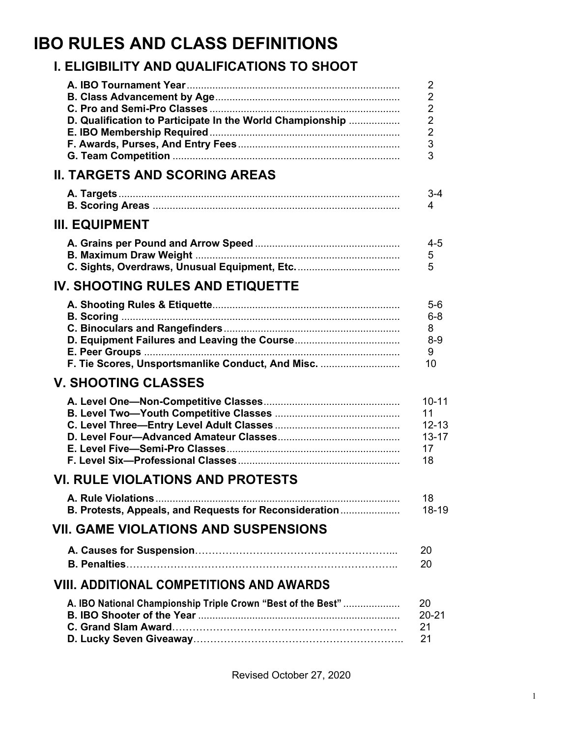# **IBO RULES AND CLASS DEFINITIONS**

## **I. ELIGIBILITY AND QUALIFICATIONS TO SHOOT**

|                                                              | $\overline{2}$ |
|--------------------------------------------------------------|----------------|
|                                                              | $\overline{2}$ |
|                                                              | $\overline{2}$ |
| D. Qualification to Participate In the World Championship    | $\overline{2}$ |
|                                                              | $\overline{2}$ |
|                                                              | 3              |
|                                                              | 3              |
| <b>II. TARGETS AND SCORING AREAS</b>                         |                |
|                                                              | $3 - 4$        |
|                                                              | 4              |
| <b>III. EQUIPMENT</b>                                        |                |
|                                                              | $4 - 5$        |
|                                                              | 5              |
|                                                              | 5              |
| <b>IV. SHOOTING RULES AND ETIQUETTE</b>                      |                |
|                                                              | $5-6$          |
|                                                              | $6 - 8$        |
|                                                              | 8              |
|                                                              | $8 - 9$        |
|                                                              | 9              |
| F. Tie Scores, Unsportsmanlike Conduct, And Misc.            | 10             |
| <b>V. SHOOTING CLASSES</b>                                   |                |
|                                                              | $10 - 11$      |
|                                                              | 11             |
|                                                              | $12 - 13$      |
|                                                              | $13 - 17$      |
|                                                              | 17             |
|                                                              | 18             |
| <b>VI. RULE VIOLATIONS AND PROTESTS</b>                      |                |
|                                                              | 18             |
| B. Protests, Appeals, and Requests for Reconsideration       | 18-19          |
| <b>VII. GAME VIOLATIONS AND SUSPENSIONS</b>                  |                |
|                                                              | 20             |
|                                                              | 20             |
| <b>VIII. ADDITIONAL COMPETITIONS AND AWARDS</b>              |                |
| A. IBO National Championship Triple Crown "Best of the Best" | 20             |
|                                                              | $20 - 21$      |
|                                                              | 21             |
|                                                              | 21             |

Revised October 27, 2020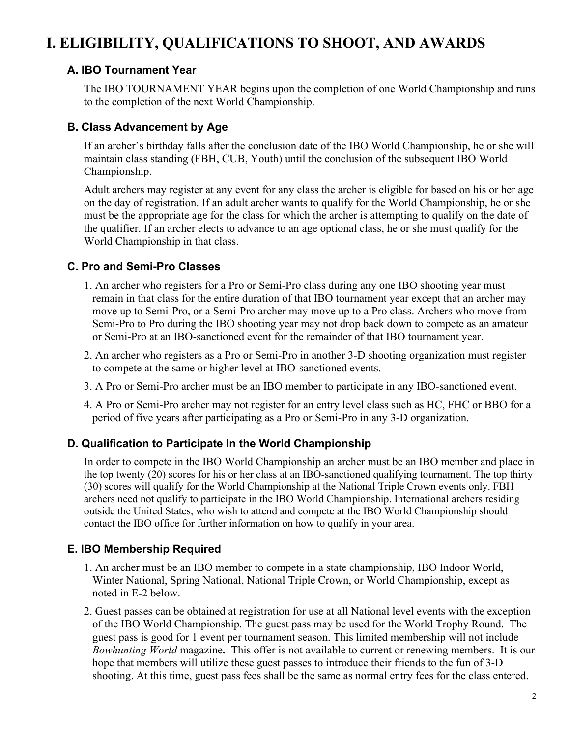# **I. ELIGIBILITY, QUALIFICATIONS TO SHOOT, AND AWARDS**

#### **A. IBO Tournament Year**

The IBO TOURNAMENT YEAR begins upon the completion of one World Championship and runs to the completion of the next World Championship.

#### **B. Class Advancement by Age**

If an archer's birthday falls after the conclusion date of the IBO World Championship, he or she will maintain class standing (FBH, CUB, Youth) until the conclusion of the subsequent IBO World Championship.

Adult archers may register at any event for any class the archer is eligible for based on his or her age on the day of registration. If an adult archer wants to qualify for the World Championship, he or she must be the appropriate age for the class for which the archer is attempting to qualify on the date of the qualifier. If an archer elects to advance to an age optional class, he or she must qualify for the World Championship in that class.

#### **C. Pro and Semi-Pro Classes**

- 1. An archer who registers for a Pro or Semi-Pro class during any one IBO shooting year must remain in that class for the entire duration of that IBO tournament year except that an archer may move up to Semi-Pro, or a Semi-Pro archer may move up to a Pro class. Archers who move from Semi-Pro to Pro during the IBO shooting year may not drop back down to compete as an amateur or Semi-Pro at an IBO-sanctioned event for the remainder of that IBO tournament year.
- 2. An archer who registers as a Pro or Semi-Pro in another 3-D shooting organization must register to compete at the same or higher level at IBO-sanctioned events.
- 3. A Pro or Semi-Pro archer must be an IBO member to participate in any IBO-sanctioned event.
- 4. A Pro or Semi-Pro archer may not register for an entry level class such as HC, FHC or BBO for a period of five years after participating as a Pro or Semi-Pro in any 3-D organization.

#### **D. Qualification to Participate In the World Championship**

In order to compete in the IBO World Championship an archer must be an IBO member and place in the top twenty (20) scores for his or her class at an IBO-sanctioned qualifying tournament. The top thirty (30) scores will qualify for the World Championship at the National Triple Crown events only. FBH archers need not qualify to participate in the IBO World Championship. International archers residing outside the United States, who wish to attend and compete at the IBO World Championship should contact the IBO office for further information on how to qualify in your area.

## **E. IBO Membership Required**

- 1. An archer must be an IBO member to compete in a state championship, IBO Indoor World, Winter National, Spring National, National Triple Crown, or World Championship, except as noted in E-2 below.
- 2. Guest passes can be obtained at registration for use at all National level events with the exception of the IBO World Championship. The guest pass may be used for the World Trophy Round.The guest pass is good for 1 event per tournament season. This limited membership will not include *Bowhunting World* magazine**.** This offer is not available to current or renewing members.It is our hope that members will utilize these guest passes to introduce their friends to the fun of 3-D shooting. At this time, guest pass fees shall be the same as normal entry fees for the class entered.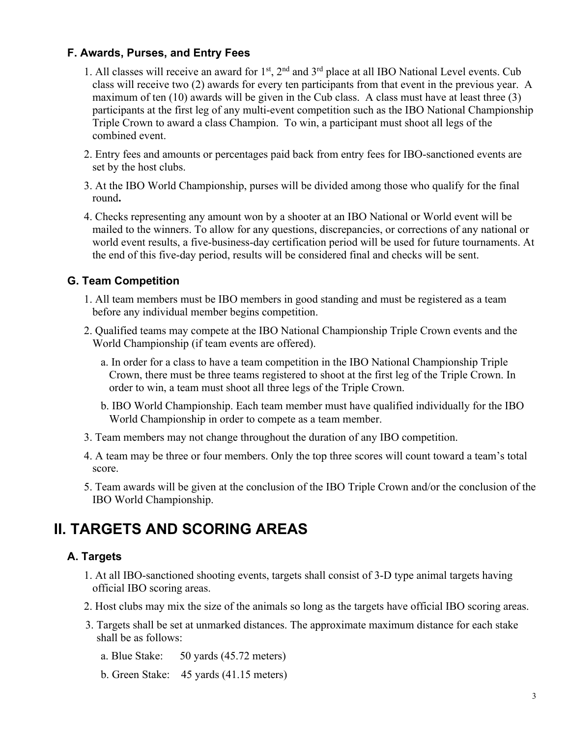#### **F. Awards, Purses, and Entry Fees**

- 1. All classes will receive an award for  $1<sup>st</sup>$ ,  $2<sup>nd</sup>$  and  $3<sup>rd</sup>$  place at all IBO National Level events. Cub class will receive two (2) awards for every ten participants from that event in the previous year. A maximum of ten (10) awards will be given in the Cub class. A class must have at least three (3) participants at the first leg of any multi-event competition such as the IBO National Championship Triple Crown to award a class Champion. To win, a participant must shoot all legs of the combined event.
- 2. Entry fees and amounts or percentages paid back from entry fees for IBO-sanctioned events are set by the host clubs.
- 3. At the IBO World Championship, purses will be divided among those who qualify for the final round**.**
- 4. Checks representing any amount won by a shooter at an IBO National or World event will be mailed to the winners. To allow for any questions, discrepancies, or corrections of any national or world event results, a five-business-day certification period will be used for future tournaments. At the end of this five-day period, results will be considered final and checks will be sent.

#### **G. Team Competition**

- 1. All team members must be IBO members in good standing and must be registered as a team before any individual member begins competition.
- 2. Qualified teams may compete at the IBO National Championship Triple Crown events and the World Championship (if team events are offered).
	- a. In order for a class to have a team competition in the IBO National Championship Triple Crown, there must be three teams registered to shoot at the first leg of the Triple Crown. In order to win, a team must shoot all three legs of the Triple Crown.
	- b. IBO World Championship. Each team member must have qualified individually for the IBO World Championship in order to compete as a team member.
- 3. Team members may not change throughout the duration of any IBO competition.
- 4. A team may be three or four members. Only the top three scores will count toward a team's total score.
- 5. Team awards will be given at the conclusion of the IBO Triple Crown and/or the conclusion of the IBO World Championship.

## **II. TARGETS AND SCORING AREAS**

#### **A. Targets**

- 1. At all IBO-sanctioned shooting events, targets shall consist of 3-D type animal targets having official IBO scoring areas.
- 2. Host clubs may mix the size of the animals so long as the targets have official IBO scoring areas.
- 3. Targets shall be set at unmarked distances. The approximate maximum distance for each stake shall be as follows:

a. Blue Stake: 50 yards (45.72 meters)

b. Green Stake: 45 yards (41.15 meters)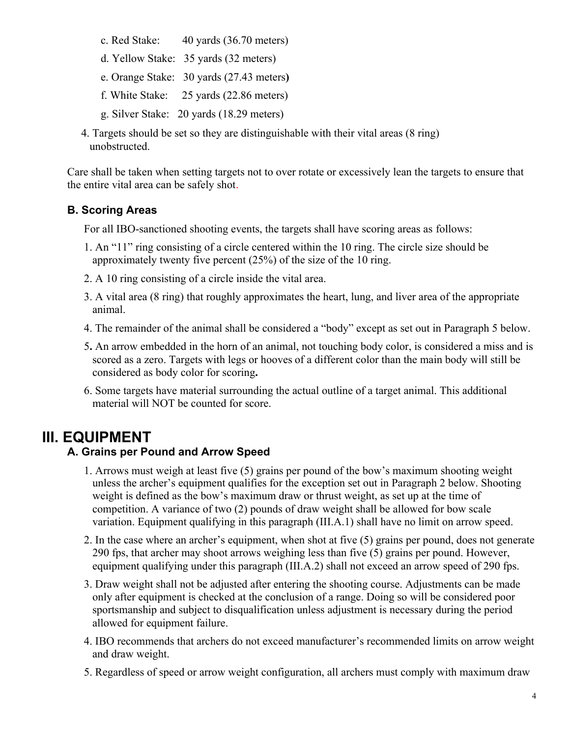- c. Red Stake: 40 yards (36.70 meters)
- d. Yellow Stake: 35 yards (32 meters)
- e. Orange Stake: 30 yards (27.43 meters**)**
- f. White Stake: 25 yards (22.86 meters)
- g. Silver Stake: 20 yards (18.29 meters)
- 4. Targets should be set so they are distinguishable with their vital areas (8 ring) unobstructed.

Care shall be taken when setting targets not to over rotate or excessively lean the targets to ensure that the entire vital area can be safely shot.

## **B. Scoring Areas**

For all IBO-sanctioned shooting events, the targets shall have scoring areas as follows:

- 1. An "11" ring consisting of a circle centered within the 10 ring. The circle size should be approximately twenty five percent (25%) of the size of the 10 ring.
- 2. A 10 ring consisting of a circle inside the vital area.
- 3. A vital area (8 ring) that roughly approximates the heart, lung, and liver area of the appropriate animal.
- 4. The remainder of the animal shall be considered a "body" except as set out in Paragraph 5 below.
- 5**.** An arrow embedded in the horn of an animal, not touching body color, is considered a miss and is scored as a zero. Targets with legs or hooves of a different color than the main body will still be considered as body color for scoring**.**
- 6. Some targets have material surrounding the actual outline of a target animal. This additional material will NOT be counted for score.

## **III. EQUIPMENT**

## **A. Grains per Pound and Arrow Speed**

- 1. Arrows must weigh at least five (5) grains per pound of the bow's maximum shooting weight unless the archer's equipment qualifies for the exception set out in Paragraph 2 below. Shooting weight is defined as the bow's maximum draw or thrust weight, as set up at the time of competition. A variance of two (2) pounds of draw weight shall be allowed for bow scale variation. Equipment qualifying in this paragraph (III.A.1) shall have no limit on arrow speed.
- 2. In the case where an archer's equipment, when shot at five (5) grains per pound, does not generate 290 fps, that archer may shoot arrows weighing less than five (5) grains per pound. However, equipment qualifying under this paragraph (III.A.2) shall not exceed an arrow speed of 290 fps.
- 3. Draw weight shall not be adjusted after entering the shooting course. Adjustments can be made only after equipment is checked at the conclusion of a range. Doing so will be considered poor sportsmanship and subject to disqualification unless adjustment is necessary during the period allowed for equipment failure.
- 4. IBO recommends that archers do not exceed manufacturer's recommended limits on arrow weight and draw weight.
- 5. Regardless of speed or arrow weight configuration, all archers must comply with maximum draw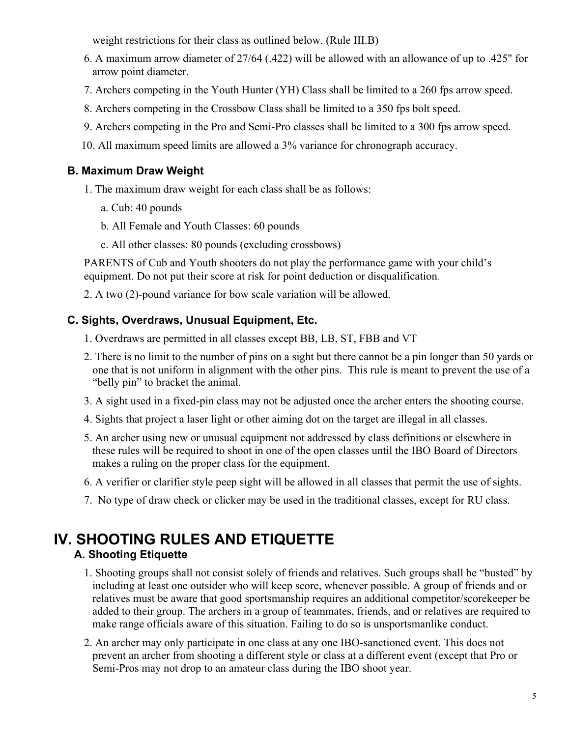weight restrictions for their class as outlined below. (Rule III.B)

- 6. A maximum arrow diameter of 27/64 (.422) will be allowed with an allowance of up to .425" for arrow point diameter.
- 7. Archers competing in the Youth Hunter (YH) Class shall be limited to a 260 fps arrow speed.
- 8. Archers competing in the Crossbow Class shall be limited to a 350 fps bolt speed.
- 9. Archers competing in the Pro and Semi-Pro classes shall be limited to a 300 fps arrow speed.
- 10. All maximum speed limits are allowed a 3% variance for chronograph accuracy.

## **B. Maximum Draw Weight**

- 1. The maximum draw weight for each class shall be as follows:
	- a. Cub: 40 pounds
	- b. All Female and Youth Classes: 60 pounds
	- c. All other classes: 80 pounds (excluding crossbows)

PARENTS of Cub and Youth shooters do not play the performance game with your child's equipment. Do not put their score at risk for point deduction or disqualification.

2. A two (2)-pound variance for bow scale variation will be allowed.

## **C. Sights, Overdraws, Unusual Equipment, Etc.**

- 1. Overdraws are permitted in all classes except BB, LB, ST, FBB and VT
- 2. There is no limit to the number of pins on a sight but there cannot be a pin longer than 50 yards or one that is not uniform in alignment with the other pins. This rule is meant to prevent the use of a "belly pin" to bracket the animal.
- 3. A sight used in a fixed-pin class may not be adjusted once the archer enters the shooting course.
- 4. Sights that project a laser light or other aiming dot on the target are illegal in all classes.
- 5. An archer using new or unusual equipment not addressed by class definitions or elsewhere in these rules will be required to shoot in one of the open classes until the IBO Board of Directors makes a ruling on the proper class for the equipment.
- 6. A verifier or clarifier style peep sight will be allowed in all classes that permit the use of sights.
- 7. No type of draw check or clicker may be used in the traditional classes, except for RU class.

## **IV. SHOOTING RULES AND ETIQUETTEA. Shooting Etiquette**

- 1. Shooting groups shall not consist solely of friends and relatives. Such groups shall be "busted" by including at least one outsider who will keep score, whenever possible. A group of friends and or relatives must be aware that good sportsmanship requires an additional competitor/scorekeeper be added to their group. The archers in a group of teammates, friends, and or relatives are required to make range officials aware of this situation. Failing to do so is unsportsmanlike conduct.
- 2. An archer may only participate in one class at any one IBO-sanctioned event. This does not prevent an archer from shooting a different style or class at a different event (except that Pro or Semi-Pros may not drop to an amateur class during the IBO shoot year.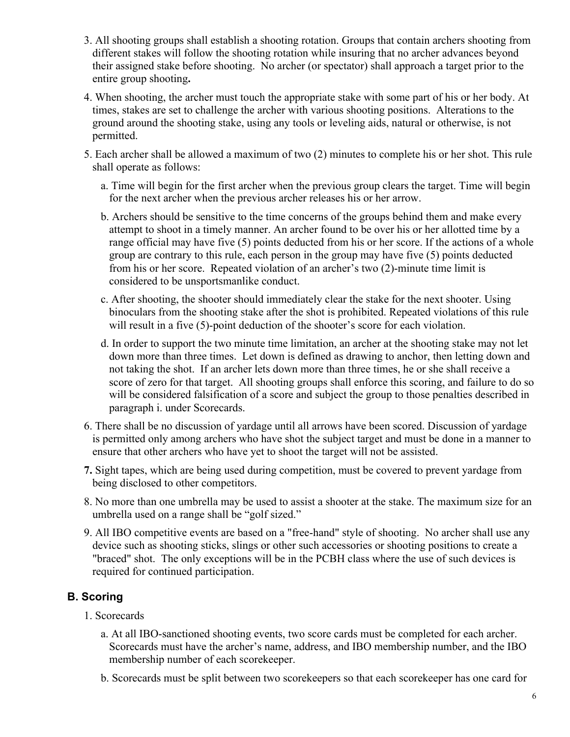- 3. All shooting groups shall establish a shooting rotation. Groups that contain archers shooting from different stakes will follow the shooting rotation while insuring that no archer advances beyond their assigned stake before shooting. No archer (or spectator) shall approach a target prior to the entire group shooting**.**
- 4. When shooting, the archer must touch the appropriate stake with some part of his or her body. At times, stakes are set to challenge the archer with various shooting positions. Alterations to the ground around the shooting stake, using any tools or leveling aids, natural or otherwise, is not permitted.
- 5. Each archer shall be allowed a maximum of two (2) minutes to complete his or her shot. This rule shall operate as follows:
	- a. Time will begin for the first archer when the previous group clears the target. Time will begin for the next archer when the previous archer releases his or her arrow.
	- b. Archers should be sensitive to the time concerns of the groups behind them and make every attempt to shoot in a timely manner. An archer found to be over his or her allotted time by a range official may have five (5) points deducted from his or her score. If the actions of a whole group are contrary to this rule, each person in the group may have five (5) points deducted from his or her score. Repeated violation of an archer's two (2)-minute time limit is considered to be unsportsmanlike conduct.
	- c. After shooting, the shooter should immediately clear the stake for the next shooter. Using binoculars from the shooting stake after the shot is prohibited. Repeated violations of this rule will result in a five (5)-point deduction of the shooter's score for each violation.
	- d. In order to support the two minute time limitation, an archer at the shooting stake may not let down more than three times. Let down is defined as drawing to anchor, then letting down and not taking the shot. If an archer lets down more than three times, he or she shall receive a score of zero for that target. All shooting groups shall enforce this scoring, and failure to do so will be considered falsification of a score and subject the group to those penalties described in paragraph i. under Scorecards.
- 6. There shall be no discussion of yardage until all arrows have been scored. Discussion of yardage is permitted only among archers who have shot the subject target and must be done in a manner to ensure that other archers who have yet to shoot the target will not be assisted.
- **7.** Sight tapes, which are being used during competition, must be covered to prevent yardage from being disclosed to other competitors.
- 8. No more than one umbrella may be used to assist a shooter at the stake. The maximum size for an umbrella used on a range shall be "golf sized."
- 9. All IBO competitive events are based on a "free-hand" style of shooting. No archer shall use any device such as shooting sticks, slings or other such accessories or shooting positions to create a "braced" shot. The only exceptions will be in the PCBH class where the use of such devices is required for continued participation.

## **B. Scoring**

- 1. Scorecards
	- a. At all IBO-sanctioned shooting events, two score cards must be completed for each archer. Scorecards must have the archer's name, address, and IBO membership number, and the IBO membership number of each scorekeeper.
	- b. Scorecards must be split between two scorekeepers so that each scorekeeper has one card for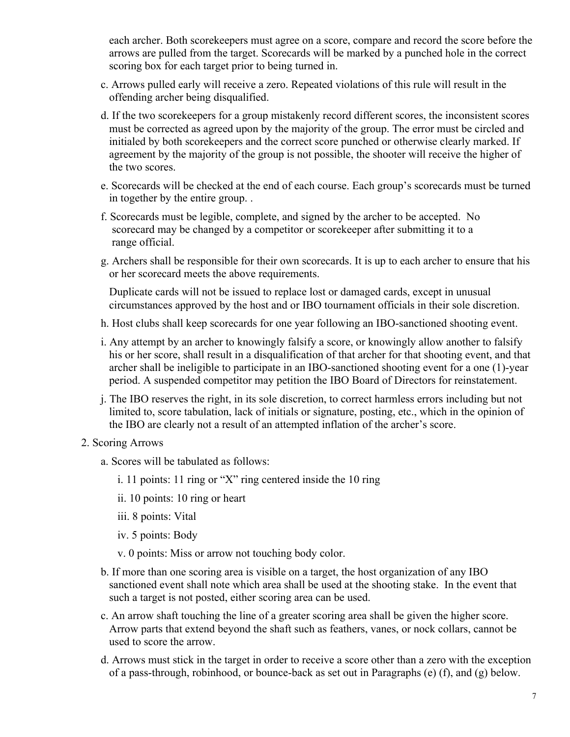each archer. Both scorekeepers must agree on a score, compare and record the score before the arrows are pulled from the target. Scorecards will be marked by a punched hole in the correct scoring box for each target prior to being turned in.

- c. Arrows pulled early will receive a zero. Repeated violations of this rule will result in the offending archer being disqualified.
- d. If the two scorekeepers for a group mistakenly record different scores, the inconsistent scores must be corrected as agreed upon by the majority of the group. The error must be circled and initialed by both scorekeepers and the correct score punched or otherwise clearly marked. If agreement by the majority of the group is not possible, the shooter will receive the higher of the two scores.
- e. Scorecards will be checked at the end of each course. Each group's scorecards must be turned in together by the entire group. .
- f. Scorecards must be legible, complete, and signed by the archer to be accepted. No scorecard may be changed by a competitor or scorekeeper after submitting it to a range official.
- g. Archers shall be responsible for their own scorecards. It is up to each archer to ensure that his or her scorecard meets the above requirements.

Duplicate cards will not be issued to replace lost or damaged cards, except in unusual circumstances approved by the host and or IBO tournament officials in their sole discretion.

- h. Host clubs shall keep scorecards for one year following an IBO-sanctioned shooting event.
- i. Any attempt by an archer to knowingly falsify a score, or knowingly allow another to falsify his or her score, shall result in a disqualification of that archer for that shooting event, and that archer shall be ineligible to participate in an IBO-sanctioned shooting event for a one (1)-year period. A suspended competitor may petition the IBO Board of Directors for reinstatement.
- j. The IBO reserves the right, in its sole discretion, to correct harmless errors including but not limited to, score tabulation, lack of initials or signature, posting, etc., which in the opinion of the IBO are clearly not a result of an attempted inflation of the archer's score.
- 2. Scoring Arrows
	- a. Scores will be tabulated as follows:
		- i. 11 points: 11 ring or "X" ring centered inside the 10 ring
		- ii. 10 points: 10 ring or heart
		- iii. 8 points: Vital
		- iv. 5 points: Body
		- v. 0 points: Miss or arrow not touching body color.
	- b. If more than one scoring area is visible on a target, the host organization of any IBO sanctioned event shall note which area shall be used at the shooting stake. In the event that such a target is not posted, either scoring area can be used.
	- c. An arrow shaft touching the line of a greater scoring area shall be given the higher score. Arrow parts that extend beyond the shaft such as feathers, vanes, or nock collars, cannot be used to score the arrow.
	- d. Arrows must stick in the target in order to receive a score other than a zero with the exception of a pass-through, robinhood, or bounce-back as set out in Paragraphs (e) (f), and (g) below.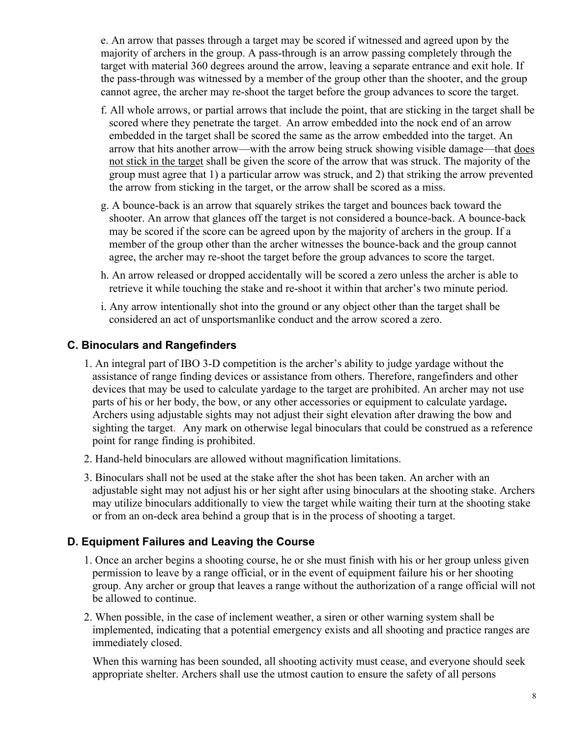e. An arrow that passes through a target may be scored if witnessed and agreed upon by the majority of archers in the group. A pass-through is an arrow passing completely through the target with material 360 degrees around the arrow, leaving a separate entrance and exit hole. If the pass-through was witnessed by a member of the group other than the shooter, and the group cannot agree, the archer may re-shoot the target before the group advances to score the target.

- f. All whole arrows, or partial arrows that include the point, that are sticking in the target shall be scored where they penetrate the target. An arrow embedded into the nock end of an arrow embedded in the target shall be scored the same as the arrow embedded into the target. An arrow that hits another arrow—with the arrow being struck showing visible damage—that does not stick in the target shall be given the score of the arrow that was struck. The majority of the group must agree that 1) a particular arrow was struck, and 2) that striking the arrow prevented the arrow from sticking in the target, or the arrow shall be scored as a miss.
- g. A bounce-back is an arrow that squarely strikes the target and bounces back toward the shooter. An arrow that glances off the target is not considered a bounce-back. A bounce-back may be scored if the score can be agreed upon by the majority of archers in the group. If a member of the group other than the archer witnesses the bounce-back and the group cannot agree, the archer may re-shoot the target before the group advances to score the target.
- h. An arrow released or dropped accidentally will be scored a zero unless the archer is able to retrieve it while touching the stake and re-shoot it within that archer's two minute period.
- i. Any arrow intentionally shot into the ground or any object other than the target shall be considered an act of unsportsmanlike conduct and the arrow scored a zero.

#### **C. Binoculars and Rangefinders**

- 1. An integral part of IBO 3-D competition is the archer's ability to judge yardage without the assistance of range finding devices or assistance from others. Therefore, rangefinders and other devices that may be used to calculate yardage to the target are prohibited. An archer may not use parts of his or her body, the bow, or any other accessories or equipment to calculate yardage**.**  Archers using adjustable sights may not adjust their sight elevation after drawing the bow and sighting the target. Any mark on otherwise legal binoculars that could be construed as a reference point for range finding is prohibited.
- 2. Hand-held binoculars are allowed without magnification limitations.
- 3. Binoculars shall not be used at the stake after the shot has been taken. An archer with an adjustable sight may not adjust his or her sight after using binoculars at the shooting stake. Archers may utilize binoculars additionally to view the target while waiting their turn at the shooting stake or from an on-deck area behind a group that is in the process of shooting a target.

#### **D. Equipment Failures and Leaving the Course**

- 1. Once an archer begins a shooting course, he or she must finish with his or her group unless given permission to leave by a range official, or in the event of equipment failure his or her shooting group. Any archer or group that leaves a range without the authorization of a range official will not be allowed to continue.
- 2. When possible, in the case of inclement weather, a siren or other warning system shall be implemented, indicating that a potential emergency exists and all shooting and practice ranges are immediately closed.

When this warning has been sounded, all shooting activity must cease, and everyone should seek appropriate shelter. Archers shall use the utmost caution to ensure the safety of all persons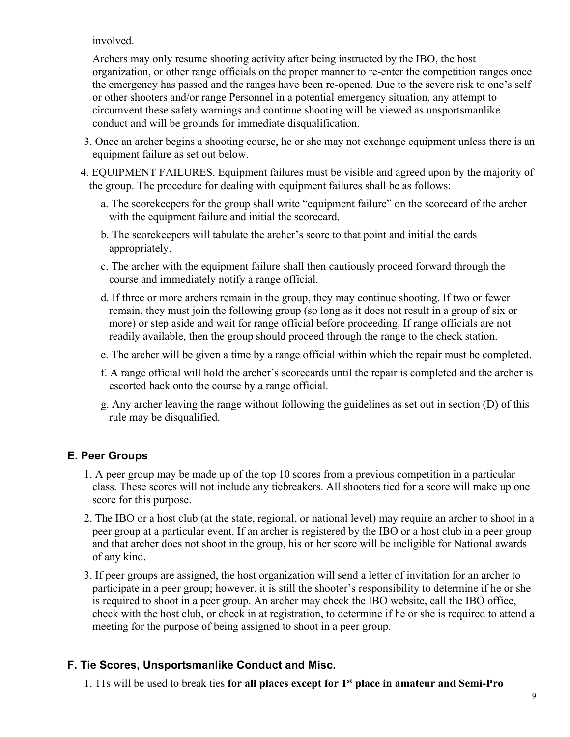involved.

Archers may only resume shooting activity after being instructed by the IBO, the host organization, or other range officials on the proper manner to re-enter the competition ranges once the emergency has passed and the ranges have been re-opened. Due to the severe risk to one's self or other shooters and/or range Personnel in a potential emergency situation, any attempt to circumvent these safety warnings and continue shooting will be viewed as unsportsmanlike conduct and will be grounds for immediate disqualification.

- 3. Once an archer begins a shooting course, he or she may not exchange equipment unless there is an equipment failure as set out below.
- 4. EQUIPMENT FAILURES. Equipment failures must be visible and agreed upon by the majority of the group. The procedure for dealing with equipment failures shall be as follows:
	- a. The scorekeepers for the group shall write "equipment failure" on the scorecard of the archer with the equipment failure and initial the scorecard.
	- b. The scorekeepers will tabulate the archer's score to that point and initial the cards appropriately.
	- c. The archer with the equipment failure shall then cautiously proceed forward through the course and immediately notify a range official.
	- d. If three or more archers remain in the group, they may continue shooting. If two or fewer remain, they must join the following group (so long as it does not result in a group of six or more) or step aside and wait for range official before proceeding. If range officials are not readily available, then the group should proceed through the range to the check station.
	- e. The archer will be given a time by a range official within which the repair must be completed.
	- f. A range official will hold the archer's scorecards until the repair is completed and the archer is escorted back onto the course by a range official.
	- g. Any archer leaving the range without following the guidelines as set out in section (D) of this rule may be disqualified.

## **E. Peer Groups**

- 1. A peer group may be made up of the top 10 scores from a previous competition in a particular class. These scores will not include any tiebreakers. All shooters tied for a score will make up one score for this purpose.
- 2. The IBO or a host club (at the state, regional, or national level) may require an archer to shoot in a peer group at a particular event. If an archer is registered by the IBO or a host club in a peer group and that archer does not shoot in the group, his or her score will be ineligible for National awards of any kind.
- 3. If peer groups are assigned, the host organization will send a letter of invitation for an archer to participate in a peer group; however, it is still the shooter's responsibility to determine if he or she is required to shoot in a peer group. An archer may check the IBO website, call the IBO office, check with the host club, or check in at registration, to determine if he or she is required to attend a meeting for the purpose of being assigned to shoot in a peer group.

## **F. Tie Scores, Unsportsmanlike Conduct and Misc.**

1. 11s will be used to break ties **for all places except for 1st place in amateur and Semi-Pro**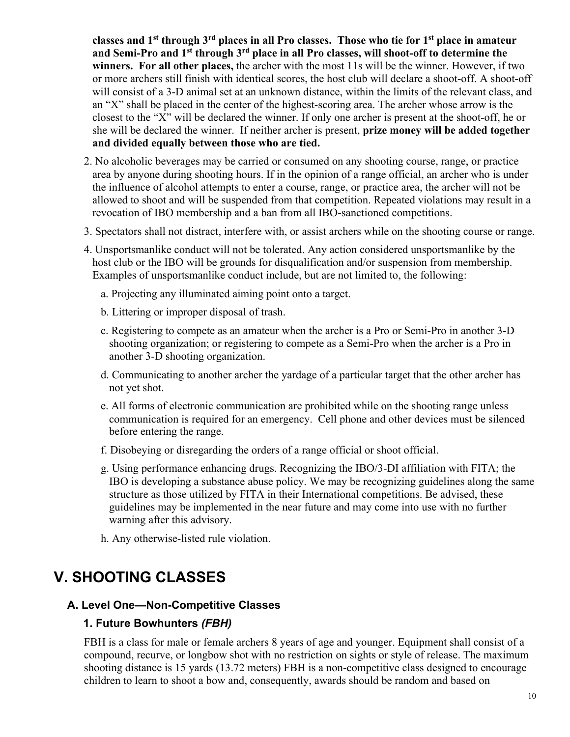**classes and 1st through 3rd places in all Pro classes. Those who tie for 1st place in amateur and Semi-Pro and 1st through 3rd place in all Pro classes, will shoot-off to determine the winners. For all other places,** the archer with the most 11s will be the winner. However, if two or more archers still finish with identical scores, the host club will declare a shoot-off. A shoot-off will consist of a 3-D animal set at an unknown distance, within the limits of the relevant class, and an "X" shall be placed in the center of the highest-scoring area. The archer whose arrow is the closest to the "X" will be declared the winner. If only one archer is present at the shoot-off, he or she will be declared the winner. If neither archer is present, **prize money will be added together and divided equally between those who are tied.**

- 2. No alcoholic beverages may be carried or consumed on any shooting course, range, or practice area by anyone during shooting hours. If in the opinion of a range official, an archer who is under the influence of alcohol attempts to enter a course, range, or practice area, the archer will not be allowed to shoot and will be suspended from that competition. Repeated violations may result in a revocation of IBO membership and a ban from all IBO-sanctioned competitions.
- 3. Spectators shall not distract, interfere with, or assist archers while on the shooting course or range.
- 4. Unsportsmanlike conduct will not be tolerated. Any action considered unsportsmanlike by the host club or the IBO will be grounds for disqualification and/or suspension from membership. Examples of unsportsmanlike conduct include, but are not limited to, the following:
	- a. Projecting any illuminated aiming point onto a target.
	- b. Littering or improper disposal of trash.
	- c. Registering to compete as an amateur when the archer is a Pro or Semi-Pro in another 3-D shooting organization; or registering to compete as a Semi-Pro when the archer is a Pro in another 3-D shooting organization.
	- d. Communicating to another archer the yardage of a particular target that the other archer has not yet shot.
	- e. All forms of electronic communication are prohibited while on the shooting range unless communication is required for an emergency. Cell phone and other devices must be silenced before entering the range.
	- f. Disobeying or disregarding the orders of a range official or shoot official.
	- g. Using performance enhancing drugs. Recognizing the IBO/3-DI affiliation with FITA; the IBO is developing a substance abuse policy. We may be recognizing guidelines along the same structure as those utilized by FITA in their International competitions. Be advised, these guidelines may be implemented in the near future and may come into use with no further warning after this advisory.
	- h. Any otherwise-listed rule violation.

# **V. SHOOTING CLASSES**

## **A. Level One—Non-Competitive Classes**

## **1. Future Bowhunters** *(FBH)*

FBH is a class for male or female archers 8 years of age and younger. Equipment shall consist of a compound, recurve, or longbow shot with no restriction on sights or style of release. The maximum shooting distance is 15 yards (13.72 meters) FBH is a non-competitive class designed to encourage children to learn to shoot a bow and, consequently, awards should be random and based on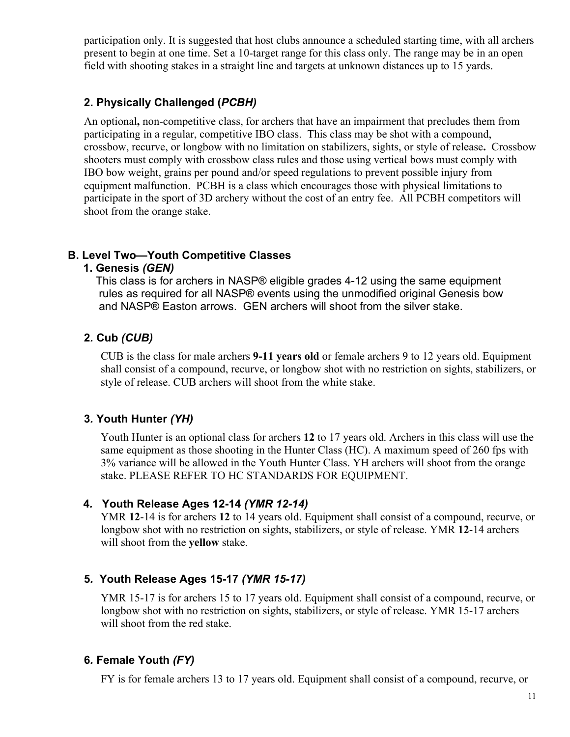participation only. It is suggested that host clubs announce a scheduled starting time, with all archers present to begin at one time. Set a 10-target range for this class only. The range may be in an open field with shooting stakes in a straight line and targets at unknown distances up to 15 yards.

#### **2. Physically Challenged (***PCBH)*

An optional**,** non-competitive class, for archers that have an impairment that precludes them from participating in a regular, competitive IBO class. This class may be shot with a compound, crossbow, recurve, or longbow with no limitation on stabilizers, sights, or style of release**.** Crossbow shooters must comply with crossbow class rules and those using vertical bows must comply with IBO bow weight, grains per pound and/or speed regulations to prevent possible injury from equipment malfunction. PCBH is a class which encourages those with physical limitations to participate in the sport of 3D archery without the cost of an entry fee. All PCBH competitors will shoot from the orange stake.

#### **B. Level Two—Youth Competitive Classes**

#### **1. Genesis** *(GEN)*

This class is for archers in NASP® eligible grades 4-12 using the same equipment rules as required for all NASP® events using the unmodified original Genesis bow and NASP® Easton arrows. GEN archers will shoot from the silver stake.

#### **2***.* **Cub** *(CUB)*

CUB is the class for male archers **9-11 years old** or female archers 9 to 12 years old. Equipment shall consist of a compound, recurve, or longbow shot with no restriction on sights, stabilizers, or style of release. CUB archers will shoot from the white stake.

#### **3***.* **Youth Hunter** *(YH)*

Youth Hunter is an optional class for archers **12** to 17 years old. Archers in this class will use the same equipment as those shooting in the Hunter Class (HC). A maximum speed of 260 fps with 3% variance will be allowed in the Youth Hunter Class. YH archers will shoot from the orange stake. PLEASE REFER TO HC STANDARDS FOR EQUIPMENT.

#### **4***.* **Youth Release Ages 12-14** *(YMR 12-14)*

YMR **12**-14 is for archers **12** to 14 years old. Equipment shall consist of a compound, recurve, or longbow shot with no restriction on sights, stabilizers, or style of release. YMR **12**-14 archers will shoot from the **yellow** stake.

#### **5***.* **Youth Release Ages 15-17** *(YMR 15-17)*

YMR 15-17 is for archers 15 to 17 years old. Equipment shall consist of a compound, recurve, or longbow shot with no restriction on sights, stabilizers, or style of release. YMR 15-17 archers will shoot from the red stake.

#### **6***.* **Female Youth** *(FY)*

FY is for female archers 13 to 17 years old. Equipment shall consist of a compound, recurve, or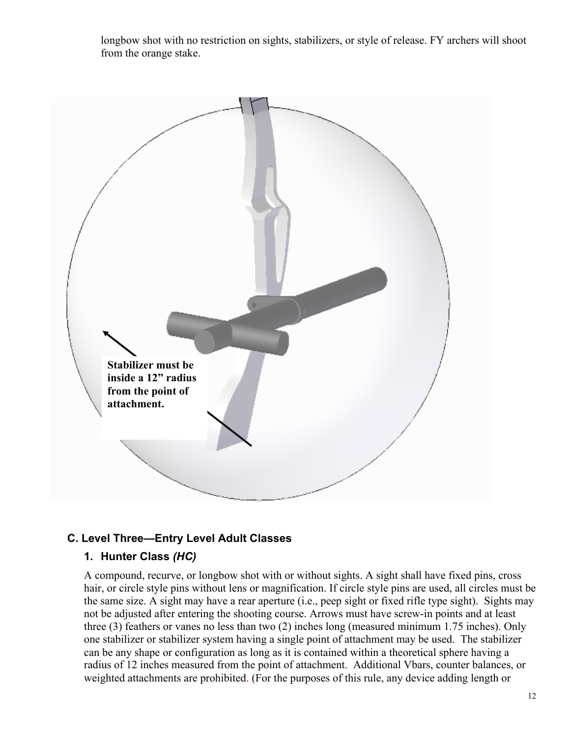longbow shot with no restriction on sights, stabilizers, or style of release. FY archers will shoot from the orange stake.



#### **C. Level Three—Entry Level Adult Classes**

#### **1***.* **Hunter Class** *(HC)*

A compound, recurve, or longbow shot with or without sights. A sight shall have fixed pins, cross hair, or circle style pins without lens or magnification. If circle style pins are used, all circles must be the same size. A sight may have a rear aperture (i.e., peep sight or fixed rifle type sight). Sights may not be adjusted after entering the shooting course. Arrows must have screw-in points and at least three (3) feathers or vanes no less than two (2) inches long (measured minimum 1.75 inches). Only one stabilizer or stabilizer system having a single point of attachment may be used. The stabilizer can be any shape or configuration as long as it is contained within a theoretical sphere having a radius of 12 inches measured from the point of attachment. Additional Vbars, counter balances, or weighted attachments are prohibited. (For the purposes of this rule, any device adding length or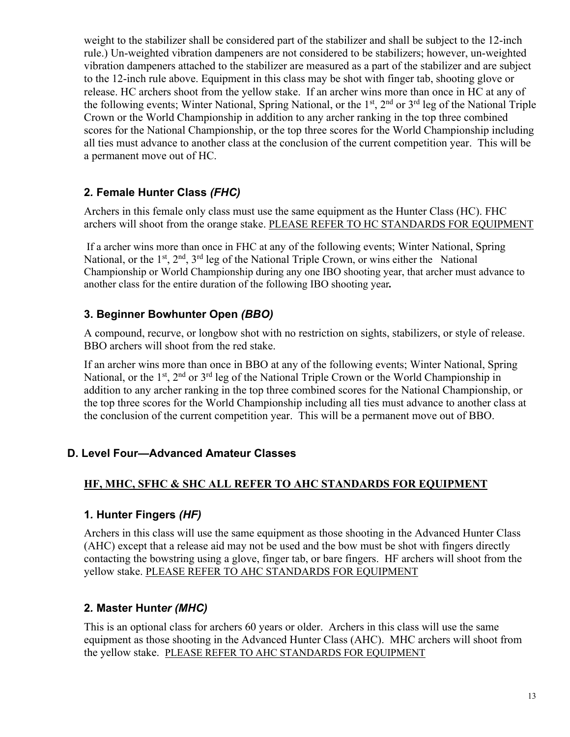weight to the stabilizer shall be considered part of the stabilizer and shall be subject to the 12-inch rule.) Un-weighted vibration dampeners are not considered to be stabilizers; however, un-weighted vibration dampeners attached to the stabilizer are measured as a part of the stabilizer and are subject to the 12-inch rule above. Equipment in this class may be shot with finger tab, shooting glove or release. HC archers shoot from the yellow stake. If an archer wins more than once in HC at any of the following events; Winter National, Spring National, or the 1<sup>st</sup>, 2<sup>nd</sup> or 3<sup>rd</sup> leg of the National Triple Crown or the World Championship in addition to any archer ranking in the top three combined scores for the National Championship, or the top three scores for the World Championship including all ties must advance to another class at the conclusion of the current competition year. This will be a permanent move out of HC.

## **2***.* **Female Hunter Class** *(FHC)*

Archers in this female only class must use the same equipment as the Hunter Class (HC). FHC archers will shoot from the orange stake. PLEASE REFER TO HC STANDARDS FOR EQUIPMENT

If a archer wins more than once in FHC at any of the following events; Winter National, Spring National, or the  $1^{st}$ ,  $2^{nd}$ ,  $3^{rd}$  leg of the National Triple Crown, or wins either the National Championship or World Championship during any one IBO shooting year, that archer must advance to another class for the entire duration of the following IBO shooting year*.* 

## **3. Beginner Bowhunter Open** *(BBO)*

A compound, recurve, or longbow shot with no restriction on sights, stabilizers, or style of release. BBO archers will shoot from the red stake.

If an archer wins more than once in BBO at any of the following events; Winter National, Spring National, or the  $1<sup>st</sup>$ ,  $2<sup>nd</sup>$  or  $3<sup>rd</sup>$  leg of the National Triple Crown or the World Championship in addition to any archer ranking in the top three combined scores for the National Championship, or the top three scores for the World Championship including all ties must advance to another class at the conclusion of the current competition year. This will be a permanent move out of BBO.

## **D. Level Four—Advanced Amateur Classes**

#### **HF, MHC, SFHC & SHC ALL REFER TO AHC STANDARDS FOR EQUIPMENT**

#### **1***.* **Hunter Fingers** *(HF)*

Archers in this class will use the same equipment as those shooting in the Advanced Hunter Class (AHC) except that a release aid may not be used and the bow must be shot with fingers directly contacting the bowstring using a glove, finger tab, or bare fingers. HF archers will shoot from the yellow stake. PLEASE REFER TO AHC STANDARDS FOR EQUIPMENT

## **2***.* **Master Hunt***er (MHC)*

This is an optional class for archers 60 years or older. Archers in this class will use the same equipment as those shooting in the Advanced Hunter Class (AHC). MHC archers will shoot from the yellow stake. PLEASE REFER TO AHC STANDARDS FOR EQUIPMENT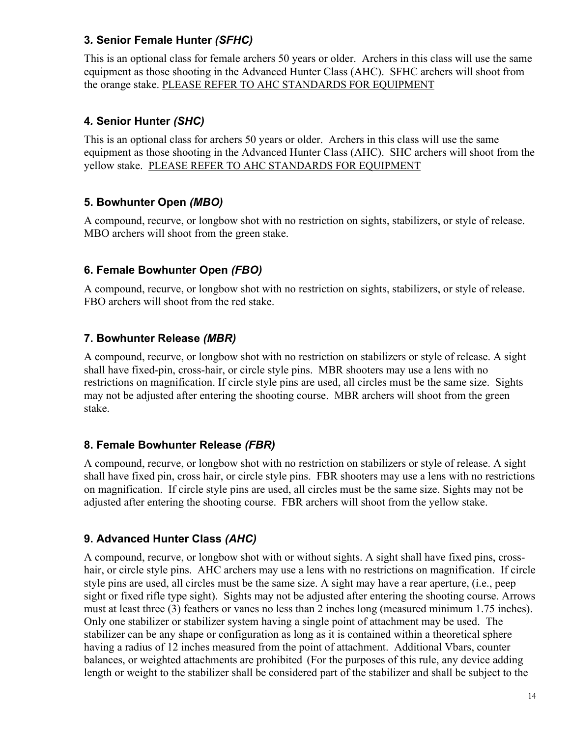## **3***.* **Senior Female Hunter** *(SFHC)*

This is an optional class for female archers 50 years or older. Archers in this class will use the same equipment as those shooting in the Advanced Hunter Class (AHC). SFHC archers will shoot from the orange stake. PLEASE REFER TO AHC STANDARDS FOR EQUIPMENT

## **4***.* **Senior Hunter** *(SHC)*

This is an optional class for archers 50 years or older. Archers in this class will use the same equipment as those shooting in the Advanced Hunter Class (AHC). SHC archers will shoot from the yellow stake. PLEASE REFER TO AHC STANDARDS FOR EQUIPMENT

## **5. Bowhunter Open** *(MBO)*

A compound, recurve, or longbow shot with no restriction on sights, stabilizers, or style of release. MBO archers will shoot from the green stake.

## **6. Female Bowhunter Open** *(FBO)*

A compound, recurve, or longbow shot with no restriction on sights, stabilizers, or style of release. FBO archers will shoot from the red stake.

## **7. Bowhunter Release** *(MBR)*

A compound, recurve, or longbow shot with no restriction on stabilizers or style of release. A sight shall have fixed-pin, cross-hair, or circle style pins. MBR shooters may use a lens with no restrictions on magnification. If circle style pins are used, all circles must be the same size. Sights may not be adjusted after entering the shooting course. MBR archers will shoot from the green stake.

## **8. Female Bowhunter Release** *(FBR)*

A compound, recurve, or longbow shot with no restriction on stabilizers or style of release. A sight shall have fixed pin, cross hair, or circle style pins. FBR shooters may use a lens with no restrictions on magnification. If circle style pins are used, all circles must be the same size. Sights may not be adjusted after entering the shooting course. FBR archers will shoot from the yellow stake.

## **9. Advanced Hunter Class** *(AHC)*

A compound, recurve, or longbow shot with or without sights. A sight shall have fixed pins, crosshair, or circle style pins. AHC archers may use a lens with no restrictions on magnification.If circle style pins are used, all circles must be the same size. A sight may have a rear aperture, (i.e., peep sight or fixed rifle type sight). Sights may not be adjusted after entering the shooting course. Arrows must at least three (3) feathers or vanes no less than 2 inches long (measured minimum 1.75 inches). Only one stabilizer or stabilizer system having a single point of attachment may be used. The stabilizer can be any shape or configuration as long as it is contained within a theoretical sphere having a radius of 12 inches measured from the point of attachment. Additional Vbars, counter balances, or weighted attachments are prohibited (For the purposes of this rule, any device adding length or weight to the stabilizer shall be considered part of the stabilizer and shall be subject to the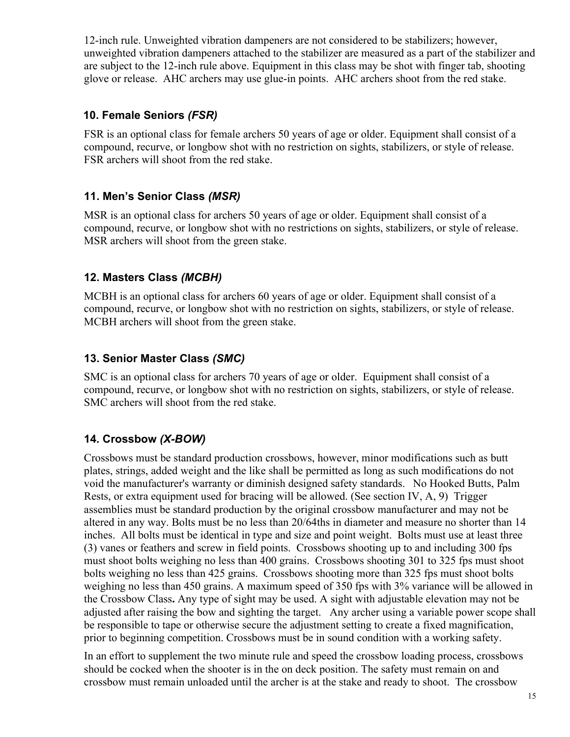12-inch rule. Unweighted vibration dampeners are not considered to be stabilizers; however, unweighted vibration dampeners attached to the stabilizer are measured as a part of the stabilizer and are subject to the 12-inch rule above. Equipment in this class may be shot with finger tab, shooting glove or release. AHC archers may use glue-in points. AHC archers shoot from the red stake.

#### **10. Female Seniors** *(FSR)*

FSR is an optional class for female archers 50 years of age or older. Equipment shall consist of a compound, recurve, or longbow shot with no restriction on sights, stabilizers, or style of release. FSR archers will shoot from the red stake.

## **11. Men's Senior Class** *(MSR)*

MSR is an optional class for archers 50 years of age or older. Equipment shall consist of a compound, recurve, or longbow shot with no restrictions on sights, stabilizers, or style of release. MSR archers will shoot from the green stake.

## **12. Masters Class** *(MCBH)*

MCBH is an optional class for archers 60 years of age or older. Equipment shall consist of a compound, recurve, or longbow shot with no restriction on sights, stabilizers, or style of release. MCBH archers will shoot from the green stake.

## **13. Senior Master Class** *(SMC)*

SMC is an optional class for archers 70 years of age or older. Equipment shall consist of a compound, recurve, or longbow shot with no restriction on sights, stabilizers, or style of release. SMC archers will shoot from the red stake.

## **14***.* **Crossbow** *(X-BOW)*

Crossbows must be standard production crossbows, however, minor modifications such as butt plates, strings, added weight and the like shall be permitted as long as such modifications do not void the manufacturer's warranty or diminish designed safety standards. No Hooked Butts, Palm Rests, or extra equipment used for bracing will be allowed. (See section IV, A, 9) Trigger assemblies must be standard production by the original crossbow manufacturer and may not be altered in any way. Bolts must be no less than 20/64ths in diameter and measure no shorter than 14 inches. All bolts must be identical in type and size and point weight. Bolts must use at least three (3) vanes or feathers and screw in field points. Crossbows shooting up to and including 300 fps must shoot bolts weighing no less than 400 grains. Crossbows shooting 301 to 325 fps must shoot bolts weighing no less than 425 grains. Crossbows shooting more than 325 fps must shoot bolts weighing no less than 450 grains. A maximum speed of 350 fps with 3% variance will be allowed in the Crossbow Class**.** Any type of sight may be used. A sight with adjustable elevation may not be adjusted after raising the bow and sighting the target. Any archer using a variable power scope shall be responsible to tape or otherwise secure the adjustment setting to create a fixed magnification, prior to beginning competition. Crossbows must be in sound condition with a working safety.

In an effort to supplement the two minute rule and speed the crossbow loading process, crossbows should be cocked when the shooter is in the on deck position. The safety must remain on and crossbow must remain unloaded until the archer is at the stake and ready to shoot. The crossbow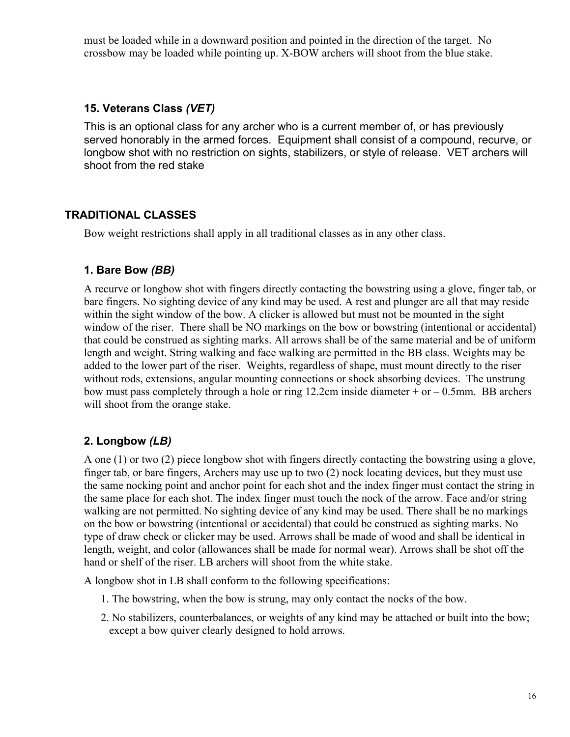must be loaded while in a downward position and pointed in the direction of the target. No crossbow may be loaded while pointing up. X-BOW archers will shoot from the blue stake.

#### **15. Veterans Class** *(VET)*

This is an optional class for any archer who is a current member of, or has previously served honorably in the armed forces. Equipment shall consist of a compound, recurve, or longbow shot with no restriction on sights, stabilizers, or style of release. VET archers will shoot from the red stake

## **TRADITIONAL CLASSES**

Bow weight restrictions shall apply in all traditional classes as in any other class.

#### **1. Bare Bow** *(BB)*

A recurve or longbow shot with fingers directly contacting the bowstring using a glove, finger tab, or bare fingers. No sighting device of any kind may be used. A rest and plunger are all that may reside within the sight window of the bow. A clicker is allowed but must not be mounted in the sight window of the riser. There shall be NO markings on the bow or bowstring (intentional or accidental) that could be construed as sighting marks. All arrows shall be of the same material and be of uniform length and weight. String walking and face walking are permitted in the BB class. Weights may be added to the lower part of the riser. Weights, regardless of shape, must mount directly to the riser without rods, extensions, angular mounting connections or shock absorbing devices. The unstrung bow must pass completely through a hole or ring 12.2cm inside diameter  $+$  or  $-$  0.5mm. BB archers will shoot from the orange stake.

## **2. Longbow** *(LB)*

A one (1) or two (2) piece longbow shot with fingers directly contacting the bowstring using a glove, finger tab, or bare fingers, Archers may use up to two (2) nock locating devices, but they must use the same nocking point and anchor point for each shot and the index finger must contact the string in the same place for each shot. The index finger must touch the nock of the arrow. Face and/or string walking are not permitted. No sighting device of any kind may be used. There shall be no markings on the bow or bowstring (intentional or accidental) that could be construed as sighting marks. No type of draw check or clicker may be used. Arrows shall be made of wood and shall be identical in length, weight, and color (allowances shall be made for normal wear). Arrows shall be shot off the hand or shelf of the riser. LB archers will shoot from the white stake.

A longbow shot in LB shall conform to the following specifications:

- 1. The bowstring, when the bow is strung, may only contact the nocks of the bow.
- 2. No stabilizers, counterbalances, or weights of any kind may be attached or built into the bow; except a bow quiver clearly designed to hold arrows.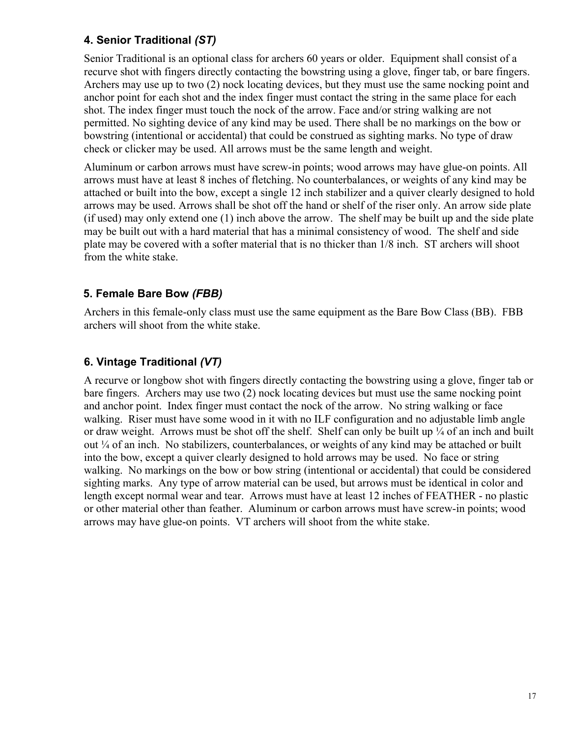## **4. Senior Traditional** *(ST)*

Senior Traditional is an optional class for archers 60 years or older. Equipment shall consist of a recurve shot with fingers directly contacting the bowstring using a glove, finger tab, or bare fingers. Archers may use up to two (2) nock locating devices, but they must use the same nocking point and anchor point for each shot and the index finger must contact the string in the same place for each shot. The index finger must touch the nock of the arrow. Face and/or string walking are not permitted. No sighting device of any kind may be used. There shall be no markings on the bow or bowstring (intentional or accidental) that could be construed as sighting marks. No type of draw check or clicker may be used. All arrows must be the same length and weight.

Aluminum or carbon arrows must have screw-in points; wood arrows may have glue-on points. All arrows must have at least 8 inches of fletching. No counterbalances, or weights of any kind may be attached or built into the bow, except a single 12 inch stabilizer and a quiver clearly designed to hold arrows may be used. Arrows shall be shot off the hand or shelf of the riser only. An arrow side plate (if used) may only extend one (1) inch above the arrow. The shelf may be built up and the side plate may be built out with a hard material that has a minimal consistency of wood. The shelf and side plate may be covered with a softer material that is no thicker than 1/8 inch. ST archers will shoot from the white stake.

## **5. Female Bare Bow** *(FBB)*

Archers in this female-only class must use the same equipment as the Bare Bow Class (BB). FBB archers will shoot from the white stake.

## **6. Vintage Traditional** *(VT)*

A recurve or longbow shot with fingers directly contacting the bowstring using a glove, finger tab or bare fingers. Archers may use two (2) nock locating devices but must use the same nocking point and anchor point. Index finger must contact the nock of the arrow. No string walking or face walking. Riser must have some wood in it with no ILF configuration and no adjustable limb angle or draw weight. Arrows must be shot off the shelf. Shelf can only be built up ¼ of an inch and built out ¼ of an inch. No stabilizers, counterbalances, or weights of any kind may be attached or built into the bow, except a quiver clearly designed to hold arrows may be used. No face or string walking. No markings on the bow or bow string (intentional or accidental) that could be considered sighting marks. Any type of arrow material can be used, but arrows must be identical in color and length except normal wear and tear. Arrows must have at least 12 inches of FEATHER - no plastic or other material other than feather. Aluminum or carbon arrows must have screw-in points; wood arrows may have glue-on points. VT archers will shoot from the white stake.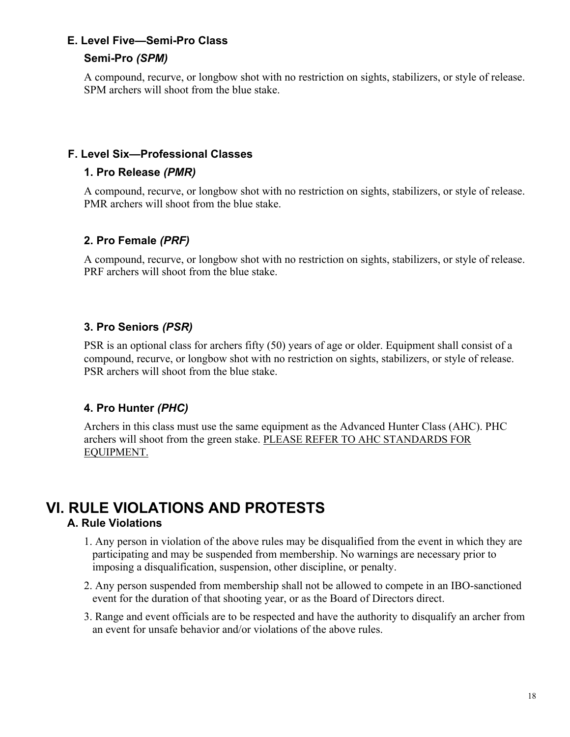## **E. Level Five—Semi-Pro Class**

#### **Semi-Pro** *(SPM)*

A compound, recurve, or longbow shot with no restriction on sights, stabilizers, or style of release. SPM archers will shoot from the blue stake.

#### **F. Level Six—Professional Classes**

#### **1. Pro Release** *(PMR)*

A compound, recurve, or longbow shot with no restriction on sights, stabilizers, or style of release. PMR archers will shoot from the blue stake.

## **2. Pro Female** *(PRF)*

A compound, recurve, or longbow shot with no restriction on sights, stabilizers, or style of release. PRF archers will shoot from the blue stake.

## **3. Pro Seniors** *(PSR)*

PSR is an optional class for archers fifty (50) years of age or older. Equipment shall consist of a compound, recurve, or longbow shot with no restriction on sights, stabilizers, or style of release. PSR archers will shoot from the blue stake.

## **4. Pro Hunter** *(PHC)*

Archers in this class must use the same equipment as the Advanced Hunter Class (AHC). PHC archers will shoot from the green stake. PLEASE REFER TO AHC STANDARDS FOR EQUIPMENT.

## **VI. RULE VIOLATIONS AND PROTESTS A. Rule Violations**

- 1. Any person in violation of the above rules may be disqualified from the event in which they are participating and may be suspended from membership. No warnings are necessary prior to imposing a disqualification, suspension, other discipline, or penalty.
- 2. Any person suspended from membership shall not be allowed to compete in an IBO-sanctioned event for the duration of that shooting year, or as the Board of Directors direct.
- 3. Range and event officials are to be respected and have the authority to disqualify an archer from an event for unsafe behavior and/or violations of the above rules.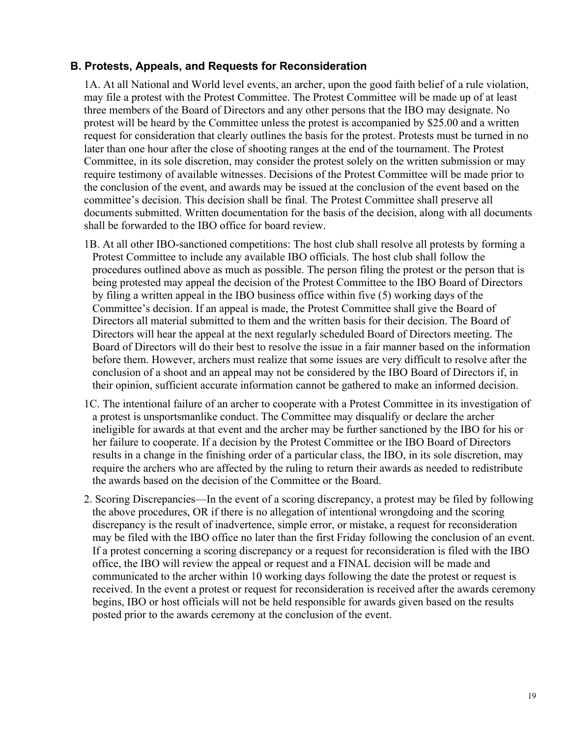#### **B. Protests, Appeals, and Requests for Reconsideration**

1A. At all National and World level events, an archer, upon the good faith belief of a rule violation, may file a protest with the Protest Committee. The Protest Committee will be made up of at least three members of the Board of Directors and any other persons that the IBO may designate. No protest will be heard by the Committee unless the protest is accompanied by \$25.00 and a written request for consideration that clearly outlines the basis for the protest. Protests must be turned in no later than one hour after the close of shooting ranges at the end of the tournament. The Protest Committee, in its sole discretion, may consider the protest solely on the written submission or may require testimony of available witnesses. Decisions of the Protest Committee will be made prior to the conclusion of the event, and awards may be issued at the conclusion of the event based on the committee's decision. This decision shall be final. The Protest Committee shall preserve all documents submitted. Written documentation for the basis of the decision, along with all documents shall be forwarded to the IBO office for board review.

- 1B. At all other IBO-sanctioned competitions: The host club shall resolve all protests by forming a Protest Committee to include any available IBO officials. The host club shall follow the procedures outlined above as much as possible. The person filing the protest or the person that is being protested may appeal the decision of the Protest Committee to the IBO Board of Directors by filing a written appeal in the IBO business office within five (5) working days of the Committee's decision. If an appeal is made, the Protest Committee shall give the Board of Directors all material submitted to them and the written basis for their decision. The Board of Directors will hear the appeal at the next regularly scheduled Board of Directors meeting. The Board of Directors will do their best to resolve the issue in a fair manner based on the information before them. However, archers must realize that some issues are very difficult to resolve after the conclusion of a shoot and an appeal may not be considered by the IBO Board of Directors if, in their opinion, sufficient accurate information cannot be gathered to make an informed decision.
- 1C. The intentional failure of an archer to cooperate with a Protest Committee in its investigation of a protest is unsportsmanlike conduct. The Committee may disqualify or declare the archer ineligible for awards at that event and the archer may be further sanctioned by the IBO for his or her failure to cooperate. If a decision by the Protest Committee or the IBO Board of Directors results in a change in the finishing order of a particular class, the IBO, in its sole discretion, may require the archers who are affected by the ruling to return their awards as needed to redistribute the awards based on the decision of the Committee or the Board.
- 2. Scoring Discrepancies—In the event of a scoring discrepancy, a protest may be filed by following the above procedures, OR if there is no allegation of intentional wrongdoing and the scoring discrepancy is the result of inadvertence, simple error, or mistake, a request for reconsideration may be filed with the IBO office no later than the first Friday following the conclusion of an event. If a protest concerning a scoring discrepancy or a request for reconsideration is filed with the IBO office, the IBO will review the appeal or request and a FINAL decision will be made and communicated to the archer within 10 working days following the date the protest or request is received. In the event a protest or request for reconsideration is received after the awards ceremony begins, IBO or host officials will not be held responsible for awards given based on the results posted prior to the awards ceremony at the conclusion of the event.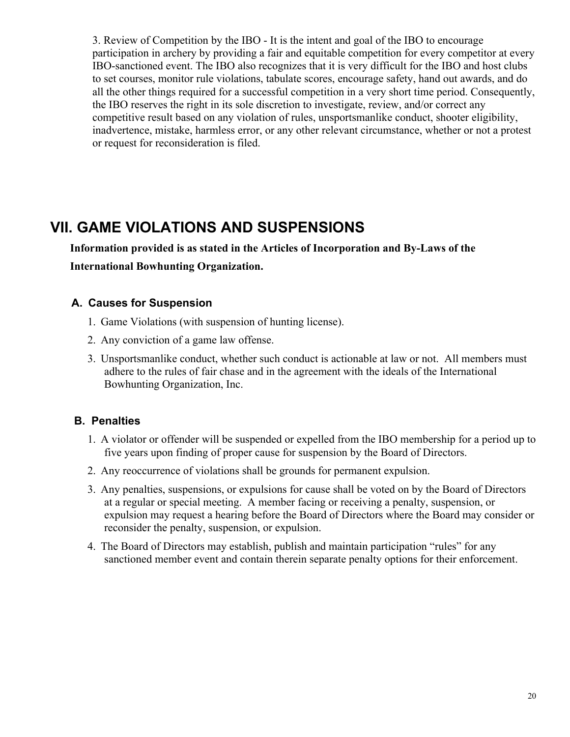3. Review of Competition by the IBO - It is the intent and goal of the IBO to encourage participation in archery by providing a fair and equitable competition for every competitor at every IBO-sanctioned event. The IBO also recognizes that it is very difficult for the IBO and host clubs to set courses, monitor rule violations, tabulate scores, encourage safety, hand out awards, and do all the other things required for a successful competition in a very short time period. Consequently, the IBO reserves the right in its sole discretion to investigate, review, and/or correct any competitive result based on any violation of rules, unsportsmanlike conduct, shooter eligibility, inadvertence, mistake, harmless error, or any other relevant circumstance, whether or not a protest or request for reconsideration is filed.

## **VII. GAME VIOLATIONS AND SUSPENSIONS**

 **Information provided is as stated in the Articles of Incorporation and By-Laws of the International Bowhunting Organization.**

## **A. Causes for Suspension**

- 1. Game Violations (with suspension of hunting license).
- 2. Any conviction of a game law offense.
- 3. Unsportsmanlike conduct, whether such conduct is actionable at law or not. All members must adhere to the rules of fair chase and in the agreement with the ideals of the International Bowhunting Organization, Inc.

## **B. Penalties**

- 1. A violator or offender will be suspended or expelled from the IBO membership for a period up to five years upon finding of proper cause for suspension by the Board of Directors.
- 2. Any reoccurrence of violations shall be grounds for permanent expulsion.
- 3. Any penalties, suspensions, or expulsions for cause shall be voted on by the Board of Directors at a regular or special meeting. A member facing or receiving a penalty, suspension, or expulsion may request a hearing before the Board of Directors where the Board may consider or reconsider the penalty, suspension, or expulsion.
- 4. The Board of Directors may establish, publish and maintain participation "rules" for any sanctioned member event and contain therein separate penalty options for their enforcement.